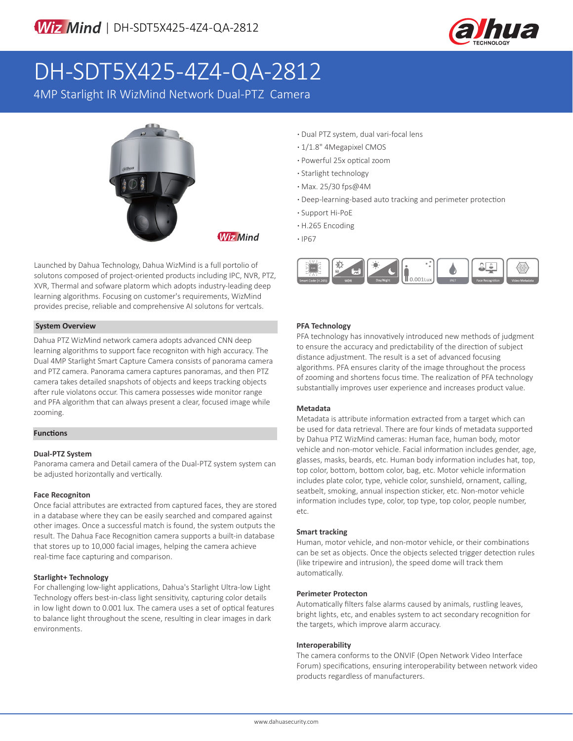

# DH-SDT5X425-4Z4-QA-2812

4MP Starlight IR WizMind Network Dual-PTZ Camera



**Wiz Mind** 

Launched by Dahua Technology, Dahua WizMind is a full portolio of solutons composed of project-oriented products including IPC, NVR, PTZ, XVR, Thermal and sofware platorm which adopts industry-leading deep learning algorithms. Focusing on customer's requirements, WizMind provides precise, reliable and comprehensive AI solutons for vertcals.

### **System Overview**

Dahua PTZ WizMind network camera adopts advanced CNN deep learning algorithms to support face recogniton with high accuracy. The Dual 4MP Starlight Smart Capture Camera consists of panorama camera and PTZ camera. Panorama camera captures panoramas, and then PTZ camera takes detailed snapshots of objects and keeps tracking objects after rule violatons occur. This camera possesses wide monitor range and PFA algorithm that can always present a clear, focused image while zooming.

### **Functions**

#### **Dual-PTZ System**

Panorama camera and Detail camera of the Dual-PTZ system system can be adjusted horizontally and vertically.

#### **Face Recogniton**

Once facial attributes are extracted from captured faces, they are stored in a database where they can be easily searched and compared against other images. Once a successful match is found, the system outputs the result. The Dahua Face Recognition camera supports a built-in database that stores up to 10,000 facial images, helping the camera achieve real-time face capturing and comparison.

#### **Starlight+ Technology**

For challenging low-light applications, Dahua's Starlight Ultra-low Light Technology offers best-in-class light sensitivity, capturing color details in low light down to 0.001 lux. The camera uses a set of optical features to balance light throughout the scene, resulting in clear images in dark environments.

- **·** Dual PTZ system, dual vari-focal lens
- **·** 1/1.8" 4Megapixel CMOS
- **·** Powerful 25x optical zoom
- **·** Starlight technology
- **·** Max. 25/30 fps@4M
- **·** Deep-learning-based auto tracking and perimeter protection
- **·** Support Hi-PoE
- **·** H.265 Encoding
- **·** IP67



#### **PFA Technology**

PFA technology has innovatively introduced new methods of judgment to ensure the accuracy and predictability of the direction of subject distance adjustment. The result is a set of advanced focusing algorithms. PFA ensures clarity of the image throughout the process of zooming and shortens focus time. The realization of PFA technology substantially improves user experience and increases product value.

#### **Metadata**

Metadata is attribute information extracted from a target which can be used for data retrieval. There are four kinds of metadata supported by Dahua PTZ WizMind cameras: Human face, human body, motor vehicle and non-motor vehicle. Facial information includes gender, age, glasses, masks, beards, etc. Human body information includes hat, top, top color, bottom, bottom color, bag, etc. Motor vehicle information includes plate color, type, vehicle color, sunshield, ornament, calling, seatbelt, smoking, annual inspection sticker, etc. Non-motor vehicle information includes type, color, top type, top color, people number, etc.

#### **Smart tracking**

Human, motor vehicle, and non-motor vehicle, or their combinations can be set as objects. Once the objects selected trigger detection rules (like tripewire and intrusion), the speed dome will track them automatically.

#### **Perimeter Protecton**

Automatically filters false alarms caused by animals, rustling leaves, bright lights, etc, and enables system to act secondary recognition for the targets, which improve alarm accuracy.

#### **Interoperability**

The camera conforms to the ONVIF (Open Network Video Interface Forum) specifications, ensuring interoperability between network video products regardless of manufacturers.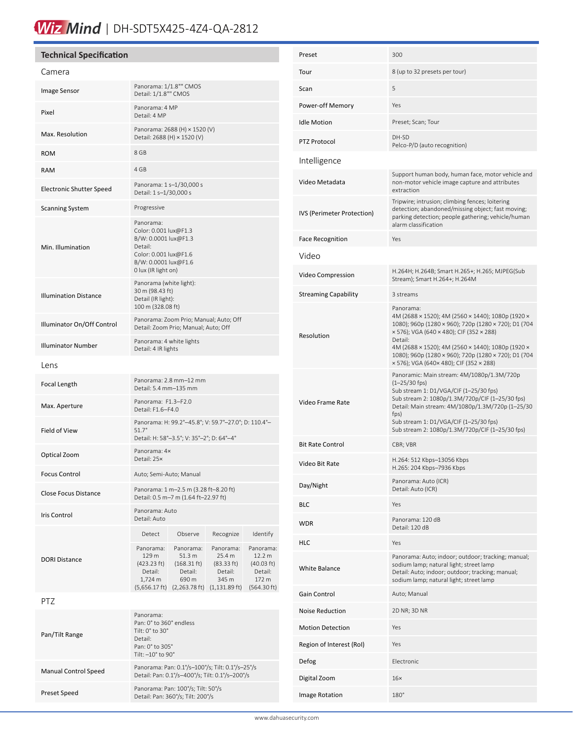# Wiz Mind | DH-SDT5X425-4Z4-QA-2812

## **Technical Specification**

| Camera                          |                                                                                                                                               |                                                                                                                     |                                                                                   |                                                                      |
|---------------------------------|-----------------------------------------------------------------------------------------------------------------------------------------------|---------------------------------------------------------------------------------------------------------------------|-----------------------------------------------------------------------------------|----------------------------------------------------------------------|
| Image Sensor                    | Panorama: 1/1.8"" CMOS<br>Detail: 1/1.8"" CMOS                                                                                                |                                                                                                                     |                                                                                   |                                                                      |
| Pixel                           | Panorama: 4 MP<br>Detail: 4 MP                                                                                                                |                                                                                                                     |                                                                                   |                                                                      |
| Max. Resolution                 | Panorama: 2688 (H) × 1520 (V)<br>Detail: 2688 (H) × 1520 (V)                                                                                  |                                                                                                                     |                                                                                   |                                                                      |
| <b>ROM</b>                      | 8 GB                                                                                                                                          |                                                                                                                     |                                                                                   |                                                                      |
| <b>RAM</b>                      | 4 GB                                                                                                                                          |                                                                                                                     |                                                                                   |                                                                      |
| <b>Electronic Shutter Speed</b> | Panorama: 1 s-1/30,000 s<br>Detail: 1 s-1/30,000 s                                                                                            |                                                                                                                     |                                                                                   |                                                                      |
| <b>Scanning System</b>          | Progressive                                                                                                                                   |                                                                                                                     |                                                                                   |                                                                      |
| Min. Illumination               | Panorama:<br>Color: 0.001 lux@F1.3<br>B/W: 0.0001 lux@F1.3<br>Detail:<br>Color: 0.001 lux@F1.6<br>B/W: 0.0001 lux@F1.6<br>0 lux (IR light on) |                                                                                                                     |                                                                                   |                                                                      |
| <b>Illumination Distance</b>    | Panorama (white light):<br>30 m (98.43 ft)<br>Detail (IR light):<br>100 m (328.08 ft)                                                         |                                                                                                                     |                                                                                   |                                                                      |
| Illuminator On/Off Control      | Panorama: Zoom Prio; Manual; Auto; Off<br>Detail: Zoom Prio; Manual; Auto; Off                                                                |                                                                                                                     |                                                                                   |                                                                      |
| <b>Illuminator Number</b>       | Panorama: 4 white lights<br>Detail: 4 IR lights                                                                                               |                                                                                                                     |                                                                                   |                                                                      |
| Lens                            |                                                                                                                                               |                                                                                                                     |                                                                                   |                                                                      |
| Focal Length                    |                                                                                                                                               | Panorama: 2.8 mm-12 mm<br>Detail: 5.4 mm-135 mm                                                                     |                                                                                   |                                                                      |
| Max. Aperture                   | Panorama: F1.3-F2.0<br>Detail: F1.6-F4.0                                                                                                      |                                                                                                                     |                                                                                   |                                                                      |
| Field of View                   | Panorama: H: 99.2°-45.8°; V: 59.7°-27.0°; D: 110.4°-<br>$51.7^{\circ}$<br>Detail: H: 58°-3.5°; V: 35°-2°; D: 64°-4°                           |                                                                                                                     |                                                                                   |                                                                      |
| Optical Zoom                    | Panorama: 4x<br>Detail: 25×                                                                                                                   |                                                                                                                     |                                                                                   |                                                                      |
| <b>Focus Control</b>            | Auto; Semi-Auto; Manual                                                                                                                       |                                                                                                                     |                                                                                   |                                                                      |
| <b>Close Focus Distance</b>     | Panorama: 1 m-2.5 m (3.28 ft-8.20 ft)<br>Detail: 0.5 m-7 m (1.64 ft-22.97 ft)                                                                 |                                                                                                                     |                                                                                   |                                                                      |
| <b>Iris Control</b>             | Panorama: Auto<br>Detail: Auto                                                                                                                |                                                                                                                     |                                                                                   |                                                                      |
|                                 | Detect                                                                                                                                        | Observe                                                                                                             | Recognize                                                                         | Identify                                                             |
| <b>DORI Distance</b>            | Panorama:<br>129 m<br>(423.23 ft)<br>Detail:<br>1,724 m                                                                                       | Panorama:<br>51.3 m<br>$(168.31 \text{ ft})$<br>Detail:<br>690 m<br>$(5,656.17 \text{ ft})$ $(2,263.78 \text{ ft})$ | Panorama:<br>25.4 m<br>(83.33 ft)<br>Detail:<br>345 m<br>$(1, 131.89 \text{ ft})$ | Panorama:<br>12.2 m<br>(40.03 ft)<br>Detail:<br>172 m<br>(564.30 ft) |
| <b>PTZ</b>                      |                                                                                                                                               |                                                                                                                     |                                                                                   |                                                                      |
| Pan/Tilt Range                  | Panorama:<br>Pan: 0° to 360° endless<br>Tilt: 0° to 30°<br>Detail:<br>Pan: 0° to 305°<br>Tilt: -10° to 90°                                    |                                                                                                                     |                                                                                   |                                                                      |
| <b>Manual Control Speed</b>     | Panorama: Pan: 0.1°/s-100°/s; Tilt: 0.1°/s-25°/s<br>Detail: Pan: 0.1°/s-400°/s; Tilt: 0.1°/s-200°/s                                           |                                                                                                                     |                                                                                   |                                                                      |
| Preset Speed                    | Panorama: Pan: 100°/s; Tilt: 50°/s<br>Detail: Pan: 360°/s; Tilt: 200°/s                                                                       |                                                                                                                     |                                                                                   |                                                                      |

| Preset                      | 300                                                                                                                                                                                                                                                                                                                                   |
|-----------------------------|---------------------------------------------------------------------------------------------------------------------------------------------------------------------------------------------------------------------------------------------------------------------------------------------------------------------------------------|
| Tour                        | 8 (up to 32 presets per tour)                                                                                                                                                                                                                                                                                                         |
| Scan                        | 5                                                                                                                                                                                                                                                                                                                                     |
| Power-off Memory            | Yes                                                                                                                                                                                                                                                                                                                                   |
| <b>Idle Motion</b>          | Preset; Scan; Tour                                                                                                                                                                                                                                                                                                                    |
| PTZ Protocol                | DH-SD<br>Pelco-P/D (auto recognition)                                                                                                                                                                                                                                                                                                 |
| Intelligence                |                                                                                                                                                                                                                                                                                                                                       |
| Video Metadata              | Support human body, human face, motor vehicle and<br>non-motor vehicle image capture and attributes<br>extraction                                                                                                                                                                                                                     |
| IVS (Perimeter Protection)  | Tripwire; intrusion; climbing fences; loitering<br>detection; abandoned/missing object; fast moving;<br>parking detection; people gathering; vehicle/human<br>alarm classification                                                                                                                                                    |
| <b>Face Recognition</b>     | Yes                                                                                                                                                                                                                                                                                                                                   |
| Video                       |                                                                                                                                                                                                                                                                                                                                       |
| Video Compression           | H.264H; H.264B; Smart H.265+; H.265; MJPEG(Sub<br>Stream); Smart H.264+; H.264M                                                                                                                                                                                                                                                       |
| <b>Streaming Capability</b> | 3 streams                                                                                                                                                                                                                                                                                                                             |
| Resolution                  | Panorama:<br>4M (2688 × 1520); 4M (2560 × 1440); 1080p (1920 ×<br>1080); 960p (1280 × 960); 720p (1280 × 720); D1 (704<br>× 576); VGA (640 × 480); CIF (352 × 288)<br>Detail:<br>4M (2688 × 1520); 4M (2560 × 1440); 1080p (1920 ×<br>1080); 960p (1280 × 960); 720p (1280 × 720); D1 (704<br>x 576); VGA (640x 480); CIF (352 x 288) |
| Video Frame Rate            | Panoramic: Main stream: 4M/1080p/1.3M/720p<br>$(1 - 25/30$ fps)<br>Sub stream 1: D1/VGA/CIF (1-25/30 fps)<br>Sub stream 2: 1080p/1.3M/720p/CIF (1-25/30 fps)<br>Detail: Main stream: 4M/1080p/1.3M/720p (1-25/30<br>fps)<br>Sub stream 1: D1/VGA/CIF (1-25/30 fps)<br>Sub stream 2: 1080p/1.3M/720p/CIF (1-25/30 fps)                 |
| <b>Bit Rate Control</b>     | CBR; VBR                                                                                                                                                                                                                                                                                                                              |
| Video Bit Rate              | H.264: 512 Kbps-13056 Kbps<br>H.265: 204 Kbps-7936 Kbps                                                                                                                                                                                                                                                                               |
| Day/Night                   | Panorama: Auto (ICR)<br>Detail: Auto (ICR)                                                                                                                                                                                                                                                                                            |
| <b>BLC</b>                  | Yes                                                                                                                                                                                                                                                                                                                                   |
| <b>WDR</b>                  | Panorama: 120 dB<br>Detail: 120 dB                                                                                                                                                                                                                                                                                                    |
| HLC                         | Yes                                                                                                                                                                                                                                                                                                                                   |
| <b>White Balance</b>        | Panorama: Auto; indoor; outdoor; tracking; manual;<br>sodium lamp; natural light; street lamp<br>Detail: Auto; indoor; outdoor; tracking; manual;<br>sodium lamp; natural light; street lamp                                                                                                                                          |
| Gain Control                | Auto; Manual                                                                                                                                                                                                                                                                                                                          |
| <b>Noise Reduction</b>      | 2D NR; 3D NR                                                                                                                                                                                                                                                                                                                          |
| <b>Motion Detection</b>     | Yes                                                                                                                                                                                                                                                                                                                                   |
| Region of Interest (RoI)    | Yes                                                                                                                                                                                                                                                                                                                                   |
| Defog                       | Electronic                                                                                                                                                                                                                                                                                                                            |
| Digital Zoom                | $16\times$                                                                                                                                                                                                                                                                                                                            |
| Image Rotation              | $180^\circ$                                                                                                                                                                                                                                                                                                                           |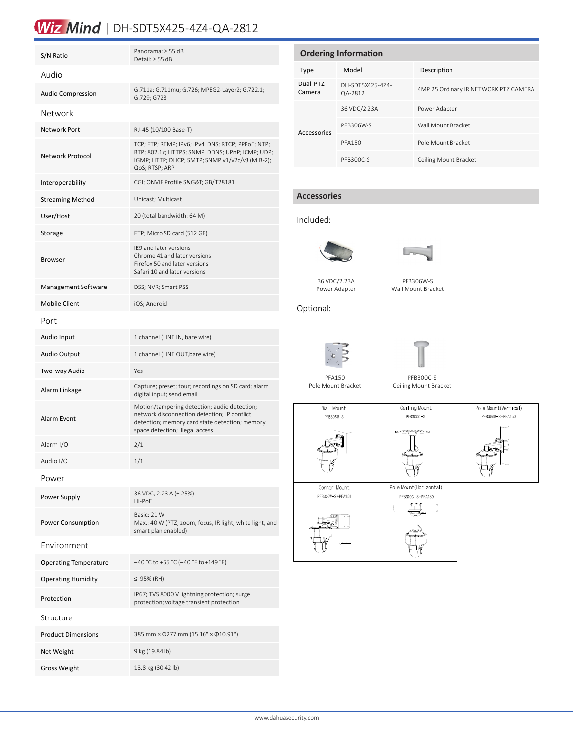# Wiz Mind | DH-SDT5X425-4Z4-QA-2812

| S/N Ratio                    | Panorama: ≥ 55 dB<br>Detail: $\geq$ 55 dB                                                                                                                                         |  |  |  |  |
|------------------------------|-----------------------------------------------------------------------------------------------------------------------------------------------------------------------------------|--|--|--|--|
| Audio                        |                                                                                                                                                                                   |  |  |  |  |
| <b>Audio Compression</b>     | G.711a; G.711mu; G.726; MPEG2-Layer2; G.722.1;<br>G.729; G723                                                                                                                     |  |  |  |  |
| Network                      |                                                                                                                                                                                   |  |  |  |  |
| Network Port                 | RJ-45 (10/100 Base-T)                                                                                                                                                             |  |  |  |  |
| Network Protocol             | TCP; FTP; RTMP; IPv6; IPv4; DNS; RTCP; PPPoE; NTP;<br>RTP; 802.1x; HTTPS; SNMP; DDNS; UPnP; ICMP; UDP;<br>IGMP; HTTP; DHCP; SMTP; SNMP v1/v2c/v3 (MIB-2);<br>QoS; RTSP; ARP       |  |  |  |  |
| Interoperability             | CGI; ONVIF Profile S&G&T GB/T28181                                                                                                                                                |  |  |  |  |
| <b>Streaming Method</b>      | Unicast; Multicast                                                                                                                                                                |  |  |  |  |
| User/Host                    | 20 (total bandwidth: 64 M)                                                                                                                                                        |  |  |  |  |
| Storage                      | FTP; Micro SD card (512 GB)                                                                                                                                                       |  |  |  |  |
| <b>Browser</b>               | IE9 and later versions<br>Chrome 41 and later versions<br>Firefox 50 and later versions<br>Safari 10 and later versions                                                           |  |  |  |  |
| Management Software          | DSS; NVR; Smart PSS                                                                                                                                                               |  |  |  |  |
| <b>Mobile Client</b>         | iOS; Android                                                                                                                                                                      |  |  |  |  |
| Port                         |                                                                                                                                                                                   |  |  |  |  |
| Audio Input                  | 1 channel (LINE IN, bare wire)                                                                                                                                                    |  |  |  |  |
| <b>Audio Output</b>          | 1 channel (LINE OUT, bare wire)                                                                                                                                                   |  |  |  |  |
| Two-way Audio                | Yes                                                                                                                                                                               |  |  |  |  |
| Alarm Linkage                | Capture; preset; tour; recordings on SD card; alarm<br>digital input; send email                                                                                                  |  |  |  |  |
| Alarm Event                  | Motion/tampering detection; audio detection;<br>network disconnection detection; IP conflict<br>detection; memory card state detection; memory<br>space detection; illegal access |  |  |  |  |
| Alarm I/O                    | 2/1                                                                                                                                                                               |  |  |  |  |
| Audio I/O                    | 1/1                                                                                                                                                                               |  |  |  |  |
| Power                        |                                                                                                                                                                                   |  |  |  |  |
| Power Supply                 | 36 VDC, 2.23 A (± 25%)<br>Hi-PoE                                                                                                                                                  |  |  |  |  |
| Power Consumption            | Basic: 21 W<br>Max.: 40 W (PTZ, zoom, focus, IR light, white light, and<br>smart plan enabled)                                                                                    |  |  |  |  |
| Environment                  |                                                                                                                                                                                   |  |  |  |  |
| <b>Operating Temperature</b> | -40 °C to +65 °C (-40 °F to +149 °F)                                                                                                                                              |  |  |  |  |
| <b>Operating Humidity</b>    | ≤ 95% (RH)                                                                                                                                                                        |  |  |  |  |
| Protection                   | IP67; TVS 8000 V lightning protection; surge<br>protection; voltage transient protection                                                                                          |  |  |  |  |
| Structure                    |                                                                                                                                                                                   |  |  |  |  |
| <b>Product Dimensions</b>    | 385 mm × 0277 mm (15.16" × 010.91")                                                                                                                                               |  |  |  |  |
| Net Weight                   | 9 kg (19.84 lb)                                                                                                                                                                   |  |  |  |  |
| <b>Gross Weight</b>          | 13.8 kg (30.42 lb)                                                                                                                                                                |  |  |  |  |

| <b>Ordering Information</b> |                             |                                       |  |  |  |
|-----------------------------|-----------------------------|---------------------------------------|--|--|--|
| <b>Type</b>                 | Model                       | Description                           |  |  |  |
| Dual-PTZ<br>Camera          | DH-SDT5X425-474-<br>QA-2812 | 4MP 25 Ordinary IR NETWORK PTZ CAMERA |  |  |  |
| Accessories                 | 36 VDC/2.23A                | Power Adapter                         |  |  |  |
|                             | PFB306W-S                   | Wall Mount Bracket                    |  |  |  |
|                             | <b>PFA150</b>               | Pole Mount Bracket                    |  |  |  |
|                             | PFB300C-S                   | Ceiling Mount Bracket                 |  |  |  |

### **Accessories**

#### Included:



36 VDC/2.23A Power Adapter



PFB306W-S Wall Mount Bracket

Optional:





PFA150 Pole Mount Bracket

PFB300C-S Ceiling Mount Bracket